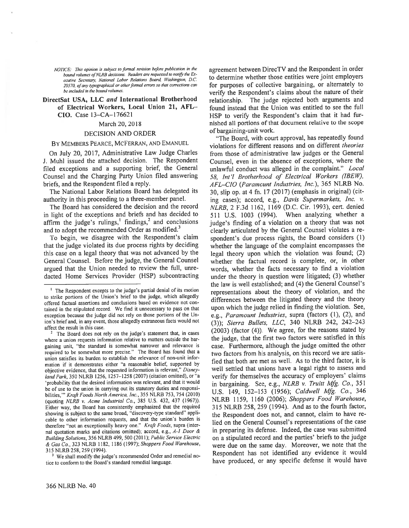NOTICE: This opinion is subject to formal revision before publication in the bound volumes of NLRB decisions. Readers are requested to notify the Executive Secretary, National Labor Relations Board, Washington, D.C. 20570, of any typographical or other formal errors so that corrections can be included in the bound volumes.

# DirectSat USA, LLC and International Brotherhood of Electrical Workers, Local Union 21, AFL— ClO. Case 13—CA—176621

### March 20, 2018

### DECISION AND ORDER

#### BY MEMBERS PEARCE, McFERRAN, AND EMANuEL

On July 20, 2017, Administrative Law Judge Charles J. MuhI issued the attached decision. The Respondent filed exceptions and <sup>a</sup> supporting brief, the General Counsel and the Charging Party Union filed answering briefs, and the Respondent filed <sup>a</sup> reply.

The National Labor Relations Board has delegated its authority in this proceeding to <sup>a</sup> three-member panel.

The Board has considered the decision and the record in light of the exceptions and briefs and has decided to affirm the judge's rulings, $\frac{1}{2}$  findings, $\frac{2}{3}$  and conclusions and to adopt the recommended Order as modified.<sup>3</sup>

To begin, we disagree with the Respondent's claim that the judge violated its due process rights by deciding this case on <sup>a</sup> legal theory that was not advanced by the General Counsel. Before the judge, the General Counsel argue<sup>d</sup> that the Union needed to review the full, unre dacted Home Services Provider (HSP) subcontracting

<sup>3</sup> We shall modify the judge's recommended Order and remedial notice to conform to the Board's standard remedial language.

agreemen<sup>t</sup> between DirecTV and the Respondent in order to determine whether those entities were joint employers for purposes of collective bargaining, or alternately to verify the Respondent's claims about the nature of their relationship. The judge rejected both arguments and found instead that the Union was entitled to see the full HSP to verify the Respondent's claim that it had fur nished all portions of that document relative to the scope of bargaining-unit work,

"The Board, with court approval, has repeatedly found violations for different reasons and on different theories from those of administrative law judges or the General Counsel, even in the absence of exceptions, where the unlawful conduct was alleged in the complaint." Local 58, Int'l Brotherhood of Electrical Workers (IBEW), AFL-CIO (Paramount Industries, Inc.), 365 NLRB No. 30, slip op. at <sup>4</sup> fn. <sup>17</sup> (2017) (emphasis in original) (cit ing cases); accord, e.g., Davis Supermarkets, Inc. v. NLRB, 2 F.3d 1162, 1169 (D.C. Cir. 1993), cert. denied <sup>511</sup> U.S. <sup>1003</sup> (1994). When analyzing whether <sup>a</sup> judge's finding of <sup>a</sup> violation on <sup>a</sup> theory that was not clearly articulated by the General Counsel violates <sup>a</sup> re spondent's due process rights, the Board considers (1) whether the language of the complaint encompasses the legal theory upon which the violation was found; (2) whether the factual record is complete, or, in other words, whether the facts necessary to find <sup>a</sup> violation under the theory in question were litigated; (3) whether the law is well established; and (4) the General Counsel's representations about the theory of violation, and the differences between the litigated theory and the theory upon which the judge relied in finding the violation. See, e.g., Paramount Industries, supra (factors (1), (2), and (3)); Sierra Bullets, LLC, <sup>340</sup> NLRB 242, 242—243 (2003) (factor (4)). We agree, for the reasons stated by the judge, that the first two factors were satisfied in this case. Furthermore, although the judge omitted the other two factors from his analysis, on this record we are satis fied that both are met as well. As to the third factor, it is well settled that unions have <sup>a</sup> legal right to assess and verify for themselves the accuracy of employers' claims in bargaining. See, e.g., NLRB v. Truitt Mfg. Co., 351 U.S. 149, 152-153 (1956); Caldwell Mfg. Co., 346 NLRB 1159, 1160 (2006); Shoppers Food Warehouse, 315 NLRB 258, 259 (1994). And as to the fourth factor, the Respondent does not, and cannot, claim to have re lied on the General Counsel's representations of the case in preparing its defense. Indeed, the case was submitted on <sup>a</sup> stipulated record and the parties' briefs to the judge were due on the same day. Moreover, we note that the Respondent has not identified any evidence it would have produced, or any specific defense it would have

 $<sup>1</sup>$  The Respondent excepts to the judge's partial denial of its motion</sup> to strike portions of the Union's brief to the judge, which allegedly offered factual assertions and conclusions based on evidence not con tained in the stipulated record. We find it unnecessary to pass on that exception because the judge did not rely on those portions of the Un ion's brief and, in any event, those allegedly extraneous facts would not affect the result in this case.

The Board does not rely on the judge's statement that, in cases where <sup>a</sup> union requests information relative to matters outside the bar gaining unit, "the standard is somewhat narrower and relevance is required to be somewhat more precise." The Board has found that <sup>a</sup> union satisfies its burden to establish the relevance of non-unit infor mation if it demonstrates either "a reasonable belief, supported by objective evidence, that the requested information is relevant," Disney land Park, 350 NLRB 1256, 1257—1258 (2007) (citation omitted), or "a 'probability that the desired information was relevant, and that it would be of use to the union in carrying out its statutory duties and responsibilities," Kraft Foods North America, Inc., 355 NLRB 753, 754 (2010) (quoting NLRB v. Acme Industrial Co., 385 U.S. 432, 437 (1967)). Either way, the Board has consistently emphasized that the required showing is subject to the same broad, "discovery-type standard" appli cable to other information requests, and that the union's burden is therefore "not an exceptionally heavy one." Kraft Foods, supra (internal quotation marks and citations omitted); accord, e.g., A-I Door & Building Solutions, <sup>356</sup> NLRB 499, <sup>500</sup> (2011): Public Service Electric & Gas Co., <sup>323</sup> NLRB 1182, <sup>1186</sup> (l997) Shoppers Food Warehouse, 315 NLRB 258, 259 (1994).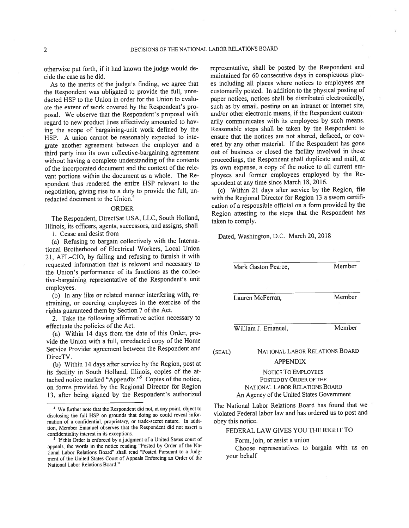otherwise pu<sup>t</sup> forth, if it had known the judge would de cide the case as he did.

As to the merits of the judge's finding, we agree that the Respondent was obligated to provide the full, unre dacted HSP to the Union in order for the Union to evalu ate the extent of work covered by the Respondent's pro posal. We observe that the Respondent's proposa<sup>l</sup> with regar<sup>d</sup> to new product lines effectively amounted to hav ing the scope of bargaining-unit work defined by the HSP. A union cannot be reasonably expected to inte grate another agreemen<sup>t</sup> between the employer and <sup>a</sup> third party into its own collective-bargaining agreemen<sup>t</sup> without having <sup>a</sup> complete understanding of the contents of the incorporated document and the context of the rele vant portions within the document as <sup>a</sup> whole. The Re spondent thus rendered the entire HSP relevant to the negotiation, <sup>g</sup>iving rise to <sup>a</sup> duty to provide the full, un redacted document to the Union.<sup>4</sup>

### ORDER

The Respondent, DirectSat USA, LLC, South Holland, Illinois, its officers, agents, successors, and assigns, shall

1. Cease and desist from

(a) Refusing to bargain collectively with the Interna tional Brotherhood of Electrical Workers, Local Union 21, AFL—CIO, by failing and refusing to furnish it with requested information that is relevant and necessary to the Union's performance of its functions as the collec tive-bargaining representative of the Respondent's unit employees.

(b) In any like or related manner interfering with, restraining, or coercing employees in the exercise of the rights guaranteed them by Section 7 of the Act.

2. Take the following affirmative action necessary to effectuate the policies of the Act.

(a) Within <sup>14</sup> days from the date of this Order, pro vide the Union with <sup>a</sup> full, unredacted copy of the Home Service Provider agreemen<sup>t</sup> between the Respondent and DirecTV.

(b) Within <sup>14</sup> days after service by the Region, pos<sup>t</sup> at its facility in South Holland. Illinois, copies of the at tached notice marked "Appendix."<sup>5</sup> Copies of the notice, on forms provided by the Regional Director for Region 13, after being signed by the Respondent's authorized representative, shall be posted by the Respondent and maintained for <sup>60</sup> consecutive days in conspicuous <sup>p</sup>lac es including all <sup>p</sup>laces where notices to employees are customarily posted. In addition to the <sup>p</sup>hysical posting of paper notices, notices shall be distributed electronically, such as by email, posting on an intranet or internet site, and/or other electronic means, if the Respondent customarily communicates with its employees by such means. Reasonable steps shall be taken by the Respondent to ensure that the notices are not altered, defaced, or cov ered by any other material. If the Respondent has gone out of business or closed the facility involved in these proceedings, the Respondent shall duplicate and mail, at its own expense, <sup>a</sup> copy of the notice to all current em <sup>p</sup>loyees and former employees employed by the Re spondent at any time since March 18, 2016.

(c) Within <sup>21</sup> days after service by the Region, file with the Regional Director for Region <sup>13</sup> <sup>a</sup> sworn certifi cation of <sup>a</sup> responsible official on <sup>a</sup> form provided by the Region attesting to the steps that the Respondent has taken to comply.

(SEAL) Mark Gaston Pearce, Member Lauren McFerran, Member William J. Emanuel, Member NATIONAL LABOR RELATIONS BOARD APPENDIX

> NOTICE TO EMPLOYEES POSTED BY ORDER OF THE NATIONAL LABOR RELATIONS BOARD An Agency of the United States Government

The National Labor Relations Board has found that we violated Federal labor law and has ordered us to pos<sup>t</sup> and obey this notice.

FEDERAL LAW GIVES YOU THE RIGHT TO

Form, join, or assist a union

Choose representatives to bargain with us on your behalf

Dated, Washington, D.C. March 20, 2018

We further note that the Respondent did not, at any point, object to disclosing the full HSP on grounds that doing so could reveal infor mation of <sup>a</sup> confidential, proprietary, or trade-secret nature. In addi tion, Member Emanuel observes that the Respondent did not assert <sup>a</sup> confidentiality interest in its exceptions.

<sup>&</sup>lt;sup>5</sup> If this Order is enforced by a judgment of a United States court of appeals, the words in the notice reading "Posted by Order of the Na tional Labor Relations Board" shall read "Posted Pursuant to <sup>a</sup> Judg ment of the United States Court of Appeals Enforcing an Order of the National Labor Relations Board."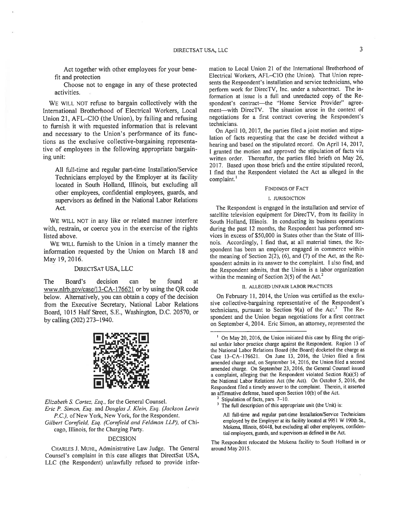Act together with other employees for your bene fit and protection

Choose not to engage in any of these protected activities.

WE WILL NOT refuse to bargain collectively with the International Brotherhood of Electrical Workers, Local Union 21, AFL—CIO (the Union), by failing and refusing to furnish it with requested information that is relevant and necessary to the Union's performance of its func tions as the exclusive collective-bargaining representa tive of employees in the following appropriate bargain ing unit:

All full-time and regular part-time Installation/Service Technicians employed by the Employer at its facility located in South Holland, Illinois, but excluding all other employees, confidential employees, guards, and supervisors as defined in the National Labor Relations Act.

WE WILL NOT in any like or related manner interfere with, restrain, or coerce you in the exercise of the rights listed above.

WE WILL furnish to the Union in <sup>a</sup> timely manner the information requested by the Union on March 18 and May 19, 2016.

### DIREcTSAT USA, LLC

The Board's decision can be found at www.nlrb.gov/case/13-CA-176621 or by using the QR code below. Alternatively, you can obtain <sup>a</sup> copy of the decision from the Executive Secretary, National Labor Relations Board, 1015 Half Street, S.E., Washington, D.C. 20570, or by calling (202) 273—1940.



Elizabeth S. Cortez, Esq., for the General Counsel. Eric P. Simon, Esq. and Douglas J. Klein, Esq. (Jackson Lewis P.C.), of New York, New York, for the Respondent. Gilbert Cornfield, Esq. (Cornfield and Feldman LLP), of Chicago, Illinois, for the Charging Party.

#### DECISION

CHARLES J. MUHL, Administrative Law Judge. The General Counsel's complaint in this case alleges that DirectSat USA, LLC (the Respondent) unlawfully refused to provide infor mation to Local Union 21 of the International Brotherhood of Electrical Workers. AFL—CIO (the Union). That Union repre sents the Respondent's installation and service technicians, who perform work for DirecTV, Inc. under <sup>a</sup> subcontract. The in formation at issue is <sup>a</sup> full and unredacted copy of the Re spondent's contract—the "Home Service Provider" agree ment—with DirecTV. The situation arose in the context of negotiations for <sup>a</sup> first contract covering the Respondent's technicians.

On April 10, 2017, the parties filed <sup>a</sup> joint motion and stipu lation of facts requesting that the case be decided without <sup>a</sup> hearing and based on the stipulated record. On April 14, 2017, <sup>I</sup> granted the motion and approve<sup>d</sup> the stipulation of facts via written order. Thereafter, the parties filed briefs on May 26. 2017. Based upon those briefs and the entire stipulated record, <sup>I</sup> find that the Respondent violated the Act as alleged in the complaint.'

#### FINDINGS OF FACT

#### I. JURISDICTION

The Respondent is engage<sup>d</sup> in the installation and service of satellite television equipment for DirecTV, from its facility in South Holland. Illinois. In conducting its business operations during the pas<sup>t</sup> <sup>12</sup> months, the Respondent has performed ser vices in excess of \$50,000 in States other than the State of Illi nois. Accordingly, <sup>I</sup> find that, at all material times, the Re spondent has been an employer engage<sup>d</sup> in commerce within the meaning of Section 2(2), (6), and (7) of the Act, as the Re spondent admits in its answer to the complaint. <sup>I</sup> also find, and the Respondent admits, that the Union is <sup>a</sup> labor organization within the meaning of Section  $2(5)$  of the Act.<sup>2</sup>

#### II. ALLEGED UNFAIR LABOR PRACTICES

On February 11, 2014, the Union was certified as the exclu sive collective-bargaining representative of the Respondent's technicians, pursuant to Section  $9(a)$  of the Act.<sup>3</sup> The Respondent and the Union began negotiations for <sup>a</sup> first contract on September 4. 2014. Eric Simon, an attorney. represented the

<sup>2</sup> Stipulation of facts, pars.  $7-10$ .<br><sup>3</sup> The full description of this annual

All full-time and regular part-time Installation/Service Technicians employed by the Employer at its facility located at 9951 W 190th St. Mokena, Illinois, 60448, but excluding all other employees, confiden tial employees, guards, arid supervisors as defined in the Act.

The Respondent relocated the Mokena facility to South Holland in or around May 2015.

<sup>&</sup>lt;sup>1</sup> On May 20, 2016, the Union initiated this case by filing the original unfair labor practice charge against the Respondent. Region <sup>13</sup> of the National Labor Relations Board (the Board) docketed the charge as Case l3—CA—176621. On June 13, 2016, the Union filed <sup>a</sup> first amended charge and, on September 14, 2016, the Union filed <sup>a</sup> second amended charge. On September 23, 2016, the General Counsel issued <sup>a</sup> complaint, alleging that the Respondent violated Section 8(a)(5) of the National Labor Relations Act (the Act). On October 5, 2016, the Respondent filed <sup>a</sup> timely answer to the complaint. Therein, it asserted an affirmative defense, based upon Section 10(b) of the Act.

The full description of this appropriate unit (the Unit) is: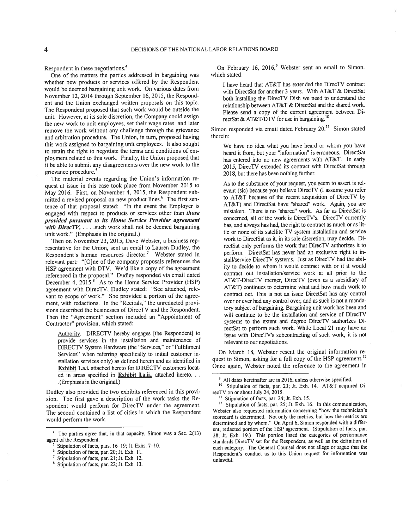Respondent in these negotiations.<sup>-</sup>

One of the matters the parties addressed in bargaining was whether new products or services offered by the Respondent would be deemed bargaining unit work. On various dates from November 12, 2014 through September 16, 2015, the Respond ent and the Union exchanged written proposals on this topic. The Respondent proposed that such work would be outside the unit. However, at its sole discretion, the Company could assign the new work to unit employees, set their wage rates, and later remove the work without any challenge through the grievance and arbitration procedure. The Union, in turn, proposed having this work assigned to bargaining unit employees. It also sought to retain the right to negotiate the terms and conditions of em <sup>p</sup>loyment related to this work. Finally, the Union propose<sup>d</sup> that it be able to submit any disagreements over the new work to the grievance procedure.<sup>-</sup>

The material events regarding the Union's information re ques<sup>t</sup> at issue in this case took <sup>p</sup>lace from November 2015 to May 2016. First, on November 4. 2015, the Respondent sub mitted a revised proposal on new product lines.<sup>6</sup> The first sentence of that proposal stated: "In the event the Employer is engaged with respect to products or services other than those provided pursuan<sup>t</sup> to its Home Service Provider agreemen<sup>t</sup> with DirecTV,  $\dots$  such work shall not be deemed bargaining unit work." (Emphasis in the original.)

Then on November 23, 2015, Dave Webster. <sup>a</sup> business rep resentative for the Union, sent an email to Lauren Dudley, the Respondent's human resources director.<sup>7</sup> Webster stated in relevant part: "[O]ne of the company proposals references the HSP agreemen<sup>t</sup> with DTV. We'd like <sup>a</sup> copy of the agreemen<sup>t</sup> referenced in the proposal." Dudley responded via email dated December 4, 2015.<sup>8</sup> As to the Home Service Provider (HSP) agreemen<sup>t</sup> with DirecTV, Dudley stated: "See attached, rele vant to scope of work." She provided <sup>a</sup> portion of the agree ment, with redactions. In the "Recitals." the unredacted provi sions described the businesses of DirecTV and the Respondent. Then the "Agreement" section included an "Appointment of Contractor" provision, which stated:

Authority. DIRECTV hereby engages [the Respondent] to provide services in the installation and maintenance of DIRECTV System Hardware (the "Services," or "Fulfillment Services" when referring specifically to initial customer in stallation services only) as defined herein and as identified in Exhibit 1.a.i. attached hereto for DIRECTV customers locat ed in areas specified in **Exhibit I.a.ii.**. attached hereto. . . (Emphasis in the original.)

Dudley also provided the two exhibits referenced in this prov<sup>i</sup> sion. The first gave <sup>a</sup> description of the work tasks the Re spondent would perform for DirecTV under the agreement. The second contained <sup>a</sup> list of cities in which the Respondent would perform the work.

On February 16,  $2016$ , Webster sent an email to Simon, which stated:

I have heard that AT&T has extended the DirecTV contract with DirectSat for another 3 years. With AT&T & DirectSat both installing the DirecTV Dish we need to understand the relationship between AT&T & DirectSat and the shared work. Please send <sup>a</sup> copy of the current agreemen<sup>t</sup> between Di rectSat & AT&T/DTV for use in bargaining.  $"$ 

Simon responded via email dated February 20.<sup>11</sup> Simon stated therein:

We have no idea what you have heard or whom you have heard it from, but your "information" is erroneous. DirectSat has entered into no new agreements with AT&T. In early 2015, DirecTV extended its contract with DirectSat through 2018, but there has been nothing further.

As to the substance of your request, you seem to assert is rel evant (sic) because you believe DirecTV (1 assume you refer to AT&T because of the recent acquisition of DirecTV by AT&T) and DirectSat have "shared" work. Again, you are mistaken. There is no "shared" work. As far as DirectSat is concerned, all of the work is DirecTV's. DirecTV currently has, and always has had, the right to contract as much or as lit tle or none of its satellite TV system installation and service work to DirectSat as it. in its sole discretion. may decide. Di rectSat only performs the work that DirecTV authorizes it to perform. DirectSat has never had an exclusive right to in stall/service DirecTV systems. Just as DirecTV had the abil itv to decide to whom it would contract with or if it would contract out installation/service work at all prior to the AT&T-DirecTV merger, DirecTV (even as a subsidiary of AT&T) continues to determine what and how much work to contract out. This is not an issue DirectSat has any control over or ever had any control over, and as such is not <sup>a</sup> manda tory subject of bargaining. Bargaining unit work has been and will continue to be the installation and service of DirecTV systems to the extent and degree DirecTV authorizes Di rectSat to perform such work. While Local <sup>21</sup> may have an issue with DirecTV's subcontracting of such work, it is not relevant to our negotiations.

On March 18, Webster resent the original information re quest to Simon, asking for a full copy of the HSP agreement.<sup>12</sup> Once again, Webster noted the reference to the agreemen<sup>t</sup> in

<sup>&</sup>lt;sup>4</sup> The parties agree that, in that capacity, Simon was a Sec. 2(13) agen<sup>t</sup> of the Respondent.

Stipulation of facts, pars. 16—19; Jt. Exhs. 7—10.

<sup>6</sup> Stipulation of facts, par. 20; it. Exh. II.

 $^7$  Stipulation of facts, par. 21; Jt. Exh. 12.

<sup>&</sup>lt;sup>8</sup> Stipulation of facts, par. 22; Jt. Exh. 13.

<sup>&</sup>lt;sup>9</sup> All dates hereinafter are in 2016, unless otherwise specified.

<sup>&</sup>lt;sup>10</sup> Stipulation of facts, par. 23; Jt. Exh. 14. AT&T acquired DirecTV on or about July 24, 2015.

<sup>&</sup>lt;sup>11</sup> Stipulation of facts, par. 24; Jt. Exh. 15.

Stipulation of facts, par. 25; Jt. Exh. 16. In this communication, Webster also requested information concerning "how the technician's scorecard is determined. Not only the metrics, but how the metrics are determined and by whom.' On April 6, Simon responded with <sup>a</sup> differ ent, redacted portion of the HSP agreement. (Stipulation of facts, par. 28; it. Exh. 19.) This portion listed the categories of performance standards DirecTV set for the Respondent, as well as the definition of each category. The General Counsel does not allege or argue that the Respondent's conduct as to this Union reques<sup>t</sup> for information was unlawful.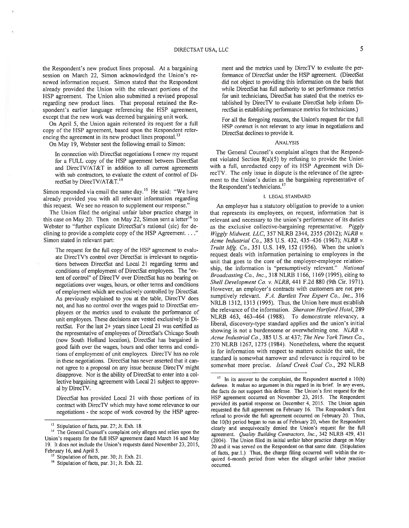the Respondent's new product lines proposal. At <sup>a</sup> bargaining session on March 22, Simon acknowledged the Union's re newed information request. Simon stated that the Respondent already provided the Union with the relevant portions of the HSP agreement. The Union also submitted <sup>a</sup> revised proposal regarding new product lines. That proposal retained the Re spondent's earlier language referencing the HSP agreement, excep<sup>t</sup> that the new work was deemed bargaining unit work.

On April 5, the Union again reiterated its reques<sup>t</sup> for <sup>a</sup> full copy of the HSP agreement, based upon the Respondent refer encing the agreement in its new product lines proposal.<sup>13</sup>

On May 19, Webster sent the following email to Simon:

In connection with DirectSat negotiations I renew my request for <sup>a</sup> FULL copy of the HSP agreemen<sup>t</sup> between DirectSat and DirecTV/AT&T in addition to all current agreements with sub contractors, to evaluate the extent of control of Di rectSat by DirecTV/AT&T.<sup>14</sup>

Simon responded via email the same day.<sup>13</sup> He said: "We have already provided you with all relevant information regarding this request. We see no reason to supplement our response."

The Union filed the original unfair labor practice charge in this case on May 20. Then on May 22, Simon sent a letter<sup>16</sup> to Webster to "further explicate DirectSat's rational (sic) for de clining to provide a complete copy of the HSP Agreement.  $\dots$ " Simon stated in relevant part:

The reques<sup>t</sup> for the full copy of the HSP agreemen<sup>t</sup> to evalu ate DirecTV's control over DirectSat is irrelevant to negotia tions between DirectSat and Local 21 regarding terms and conditions of employment of DirectSat employees. The 'ex tent of control' of DirecTV over DirectSat has no bearing on negotiations over wages, hours, or other terms and conditions of employment which are exclusively controlled by DirectSat. As previously explained to you at the table, DirecTV does not, and has no control over the wages paid to DirectSat em ployees or the metrics used to evaluate the performance of unit employees. These decisions are vested exclusively in Di rectSat. For the last 2+ years since Local 21 was certified as the representative of employees of DirectSat's Chicago South (now South Holland location), DirectSat has bargained in good faith over the wages, hours and other terms and condi tions of employment of unit employees. DirecTV has no role in these negotiations. DirectSat has never asserted that it can not agree to a proposal on any issue because DirecTV might disapprove. Nor is the ability of DirectSat to enter into <sup>a</sup> col lective bargaining agreemen<sup>t</sup> with Local 21 subject to approv al by DirecTV.

DirectSat has provided Local 21 with those portions of its contract with DirecTV which may have some relevance to our negotiations - the scope of work covered by the HSP agreement and the metrics used by DirecTV to evaluate the per formance of DirectSat under the HSP agreement. (DirectSat did not object to providing this information on the basis that while DirectSat has full authority to set performance metrics for unit technicians, DirectSat has stated that the metrics es tablished by DirecTV to evaluate DirectSat help inform Di rectSat in establishing performance metrics for technicians.)

For all the foregoing reasons, the Union's request for the full HSP contract is not relevant to any issue in negotiations and DirectSat declines to provide it.

### ANALYSIS

The General Counsel's complaint alleges that the Respond ent violated Section 8(a)(5) by refusing to provide the Union with <sup>a</sup> full, unredacted copy of its HSP Agreement with Di recTV. The only issue in dispute is the relevance of the agree ment to the Union's duties as the bargaining representative of the Respondent's technicians.<sup>17</sup>

#### I. LEGAL STANDARD

An employer has <sup>a</sup> statutory obligation to provide to <sup>a</sup> union that represents its employees, on request, information that is relevant and necessary to the union's performance of its duties as the exclusive collective-bargaining representative. Piggly Wiggly Midwest, LLC, 357 NLRB 2344, 2355 (2012); NLRB v. Acme Industrial Co., 385 U.S. 432, 435—436 (1967); NLRB v. Truitt  $M/g$ . Co., 351 U.S. 149, 152 (1956). When the union's reques<sup>t</sup> deals with information pertaining to employees in the unit that goes to the core of the employer-employee relation ship, the information is "presumptively relevant." National Broadcasting Co., Inc., 318 NLRB 1166, 1169(1995), citing to Shell Development Co. v. NLRB, 441 F.2d 880 (9th Cir. 1971). However, an employer's contracts with customers are not presumptively relevant. F.A. Bartlett Tree Expert Co., Inc., 316 NRLB 1312, 1313 (1995). Thus, the Union here must establish the relevance of the information. Sheraton Hartford Hotel, 289 NERD 463, 463—464 (1988). To demonstrate relevancy, <sup>a</sup> liberal, discovery-type standard applies and the union's initial showing is not a burdensome or overwhelming one.  $NLRB$  v. Acme Industrial Co., 385 U.S. at 437; The New York Times Co., 270 NLRB 1267, 1275 (1984). Nonetheless, where the reques<sup>t</sup> is for information with respec<sup>t</sup> to matters outside the unit, the standard is somewhat narrower and relevance is required to be somewhat more precise. Island Creek Coal Co., 292 NLRB

<sup>&</sup>lt;sup>13</sup> Stipulation of facts, par. 27; Jt. Exh. 18.

<sup>&</sup>lt;sup>14</sup> The General Counsel's complaint only alleges and relies upon the Union's requests for the full HSP agreement dated March 16 and May 19. It does not include the Union's requests dated November 23, 2015, February 16, and April 5.

Stipulation of facts, par. 30; Jt. Exh. 21.

<sup>&</sup>lt;sup>16</sup> Stipulation of facts, par. 31; Jt. Exh. 22.

 $17$  In its answer to the complaint, the Respondent asserted a  $10(b)$ defense. It makes no argumen<sup>t</sup> in this regard in its brief. In any event, the facts do not suppor<sup>t</sup> this defense. The Union's first reques<sup>t</sup> for the HSP agreemen<sup>t</sup> occurred on November 23, 2015. The Respondent provided its partial response on December 4, 2015. The Union again requested the full agreemen<sup>t</sup> on February 16. The Respondent's first refusal to provide the full agreemen<sup>t</sup> occurred on February 20. Thus, the 10(b) period began to run as of February 20, when the Respondent clearly and unequivocally denied the Union's reques<sup>t</sup> for the full agreement. Quality Building Contractors, Inc., 342 NLRB 429, 431 (2004). The Union filed its initial unfair labor practice charge on May 20 and it was served on the Respondent on that same date. (Stipulation of facts, par.1.) Thus, the charge filing occurred well within the re quired 6-month period from when the alleged unfair labor practice occurred.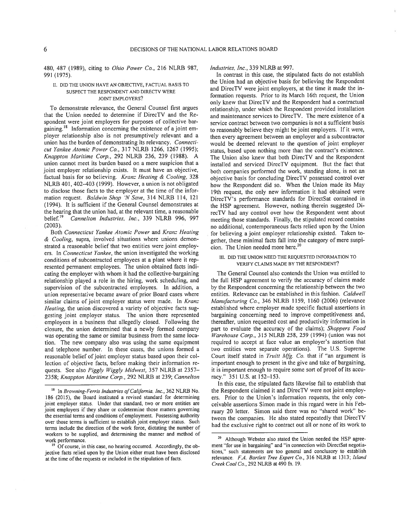480, 487 (1989), citing to *Ohio Power Co.*, 216 NLRB 987, 991 (1975).

### II. DID THE UNION HAVE AN OBJECTIVE, FACTUAL BASIS TO SUSPECT THE RESPONDENT AND DIRECTV WERE JOINT EMPLOYERS?

To demonstrate relevance, the General Counsel first argues that the Union needed to determine if DirecTV and the Re spondent were joint employers for purposes of collective bar gaining.<sup>18</sup> Information concerning the existence of a joint em<sup>p</sup>loyer relationship also is not presumptively relevant and <sup>a</sup> union has the burden of demonstrating its relevancy. Connecti cut Yankee Atomic Power Co., 317 NLRB 1266, 1267 (1995); Knappton Maritime Corp., 292 NLRB 236, 239 (1988). A union cannot meet its burden based on <sup>a</sup> mere suspicion that <sup>a</sup> joint employer relationship exists. It must have an objective, factual basis for so believing. Kranz Heating & Cooling, 328 NLRB 401, 402—403 (1999). However, <sup>a</sup> union is not obligated to disclose those facts to the employer at the time of the infor mation request. Baldwin Shop 'N Save, 314 NLRB 114, 121 (1994). It is sufficient if the General Counsel demonstrates at the hearing that the union had, at the relevant time, a reasonable belief.<sup>19</sup> *Cannelton Industries, Inc.*, 339 NLRB 996, 997 Cannelton Industries, Inc., 339 NLRB 996, 997 (2003).

Both Connecticut Yankee Atomic Power and Kranz Heating & Cooling, supra, involved situations where unions demon strated <sup>a</sup> reasonable belief that two entities were joint employ ers. In Connecticut Yankee, the union investigated the working conditions of subcontracted employees at <sup>a</sup> plant where it rep resented permanen<sup>t</sup> employees. The union obtained facts indi cating the employer with whom it had the collective-bargaining relationship <sup>p</sup>layed <sup>a</sup> role in the hiring, work scheduling, and supervision of the subcontracted employees. In addition, <sup>a</sup> union representative became aware of prior Board cases where similar claims of joint employer status were made. In Kranz Heating, the union discovered a variety of objective facts suggesting joint employer status. The union there represented employees in <sup>a</sup> business that allegedly closed. Following the closure, the union determined that <sup>a</sup> newly formed company was operating the same or similar business from the same loca tion. The new company also was using the same equipment and telephone number. In these cases, the unions formed <sup>a</sup> reasonable belief of joint employer status based upon their collection of objective facts, before making their information re quests. See also Piggly Wiggly Midwest, 357 NLRB at 2357-2358; Knappton Maritime Corp., 292 NLRB at 239; Cannelton

#### Industries, Inc., 339 NLRB at 997.

In contrast in this case, the stipulated facts do not establish the Union had an objective basis for believing the Respondent and DirecTV were joint employers, at the time it made the in formation requests. Prior to its March 16th request, the Union only knew that DirecTV and the Respondent had <sup>a</sup> contractual relationship, under which the Respondent provided installation and maintenance services to DirecTV. The mere existence of <sup>a</sup> service contract between two companies is not <sup>a</sup> sufficient basis to reasonably believe they might be joint employers. If it were, then every agreemen<sup>t</sup> between an employer and <sup>a</sup> subcontractor would be deemed relevant to the question of joint employer status, based upon nothing more than the contract's existence. The Union also knew that both DirecTV and the Respondent installed and serviced DirecTV equipment. But the fact that both companies performed the work, standing alone, is not an objective basis for concluding DirecTV possessed control over how the Respondent did so. When the Union made its May 19th request, the only new information it had obtained were DirecTV's performance standards for DirectSat contained in the HSP agreement. However, nothing therein suggested Di recTV had any control over how the Respondent went about meeting those standards. Finally, the stipulated record contains no additional, contemporaneous facts relied upon by the Union for believing <sup>a</sup> joint employer relationship existed. Taken to gether, these minimal facts fall into the category of mere susp<sup>i</sup> cion. The Union needed more here.<sup>20</sup>

### III. DID THE UNION NEED THE REQUESTED INFORMATION TO VERIFY CLAIMS MADE BY THE RESPONDENT?

The General Counsel also contends the Union was entitled to the full HSP agreemen<sup>t</sup> to verify the accuracy of claims made by the Respondent concerning the relationship between the two entities. Relevance can be established in this fashion. Caldwell Manufacturing Co., 346 NLRB 1159, 1160 (2006) (relevance established where employer made specific factual assertions in bargaining concerning need to improve competitiveness and. thereafter, union requested cost and productivity information in part to evaluate the accuracy of the claims); Shoppers Food Warehouse Corp., 315 NLRB 258, 259 (1994) (union was not required to accep<sup>t</sup> at face value an employer's assertion that two entities were separate operations). The U.S. Supreme Court itself stated in Truitt Mfg. Co. that if "an argument is important enoug<sup>h</sup> to presen<sup>t</sup> in the <sup>g</sup>ive and take of bargaining, it is important enough to require some sort of proof of its accu racy." 351 U.S. at 152—153.

In this case, the stipulated facts likewise fail to establish that the Respondent claimed it and DirecTV were not joint employ ers. Prior to the Union's information requests, the only con ceivable assertions Simon made in this regard were in his Feb ruarv 20 letter. Simon said there was no "shared work" be tween the companies. He also stated repeatedly that DirecTV had the exclusive right to contract out all or none of its work to

<sup>&</sup>lt;sup>18</sup> In *Browning-Ferris Industries of California, Inc.*, 362 NLRB No. 186 (2015), the Board instituted <sup>a</sup> revised standard for determining joint employer status. Under that standard, two or more entities are joint employers if they share or codetermine those matters goveming the essential terms and conditions of employment. Possessing authority over those terms is sufficient to establish joint employer status. Such terms include the direction of the work force, dictating the number of workers to be supplied, and determining the manner and method of work performance.

Of course, in this case, no hearing occurred. Accordingly, the ob jective facts relied upon by the Union either must have been disclosed at the time of the requests or included in the stipulation of facts.

<sup>&</sup>lt;sup>20</sup> Although Webster also stated the Union needed the HSP agreement "for use in bargaining" and "in connection with DirectSat negotiations," such statements are too general and conclusory to establish relevance. F.A. Bartlett Tree Expert Co., 316 NLRB at 1313; Island Creek Coal Co., 292 NLRB at 490 fn. 19.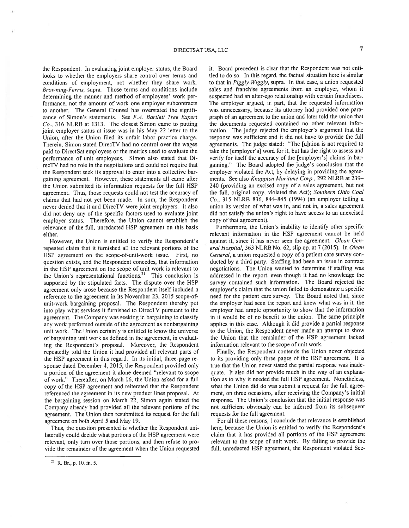the Respondent. In evaluating joint employer status, the Board looks to whether the employers share control over terms and conditions of employment, not whether they share work. Browning-Ferris, supra. Those terms and conditions include determining the manner and method of employees' work per formance, not the amount of work one employer subcontracts to another. The General Counsel has overstated the signifi cance of Simon's statements. See F.A. Bartlett Tree Expert Co.. 316 NLRB at 1313. The closest Simon came to putting joint employer status at issue was in his May <sup>22</sup> letter to the Union, after the Union filed its unfair labor practice charge. Therein, Simon stated DirecTV had no control over the wages paid to DirectSat employees or the metrics used to evaluate the performance of unit employees. Simon also stated that Di recTV had no role in the negotiations and could not require that the Respondent seek its approval to enter into <sup>a</sup> collective bar gaining agreement. However, these statements all came after the Union submitted its information requests for the full HSP agreement. Thus, those requests could not test the accuracy of claims that had not ye<sup>t</sup> been made. In sum, the Respondent never denied that it and DirecTV were joint employers. It also did not deny any of the specific factors used to evaluate joint employer status. Therefore, the Union cannot establish the relevance of the full, unredacted HSP agreemen<sup>t</sup> on this basis either.

However, the Union is entitled to verify the Respondent's repeated claim that it furnished all the relevant portions of the HSP agreement on the scope-of-unit-work issue. First, no question exists, and the Respondent concedes, that information in the HSP agreemen<sup>t</sup> on the scope of unit work is relevant to the Union's representational functions.<sup>21</sup> This conclusion is supported by the stipulated facts. The dispute over the HSP agreemen<sup>t</sup> only arose because the Respondent itself included <sup>a</sup> reference to the agreemen<sup>t</sup> in its November 23, 2015 scope-ofunit-work bargaining proposal. The Respondent thereby pu<sup>t</sup> into play what services it furnished to DirecTV pursuan<sup>t</sup> to the agreement. The Company was seeking in bargaining to classify any work performed outside of the agreemen<sup>t</sup> as nonbargaining unit work. The Union certainly is entitled to know the universe of bargaining unit work as defined in the agreement, in evaluat ing the Respondent's proposal. Moreover, the Respondent repeatedly told the Union it had provided all relevant parts of the HSP agreemen<sup>t</sup> in this regard. In its initial, three-page re sponse dated December 4, 2015, the Respondent provided only <sup>a</sup> portion of the agreemen<sup>t</sup> it alone deemed "relevant to scope of work." Thereafter, on March 16, the Union asked for <sup>a</sup> full copy of the HSP agreemen<sup>t</sup> and reiterated that the Respondent referenced the agreemen<sup>t</sup> in its new product lines proposal. At the bargaining session on March 22, Simon again stated the Company already had provided all the relevant portions of the agreement. The Union then resubmitted its reques<sup>t</sup> for the full agreemen<sup>t</sup> on both April 5 and May 19.

Thus, the question presented is whether the Respondent uni laterally could decide what portions of the HSP agreemen<sup>t</sup> were relevant, only turn over those portions. and then refuse to pro vide the remainder of the agreemen<sup>t</sup> when the Union requested it. Board precedent is clear that the Respondent was not enti tled to do so. In this regard, the factual situation here is similar to that in Piggly Wiggly, supra. In that case, <sup>a</sup> union requested sales and franchise agreements from an employer, whom it suspected had an alter-ego relationship with certain franchisees. The employer argued, in part, that the requested information was unnecessary, because its attorney had provided one para grap<sup>h</sup> of an agreemen<sup>t</sup> to the union and later told the union that the documents requested contained no other relevant infor mation. The judge rejected the employer's argumen<sup>t</sup> that the response was sufficient and it did not have to provide the full agreements. The judge stated: "The [u]nion is not required to take the [employer's] word for it, but has the right to assess and verify for itself the accuracy of the [employer's] claims in bargaining." The Board adopted the judge's conclusion that the employer violated the Act, by delaying in providing the agree ments. See also Knappton Maritime Corp., 292 NLRB at 239— 240 (providing an excised copy of <sup>a</sup> sales agreement, but not the full, original copy, violated the Act); Southern Ohio Coal Co., 315 NLRB 836, 844—845 (1994) (an employer telling <sup>a</sup> union its version of what was in, and not in, <sup>a</sup> sales agreemen<sup>t</sup> did not satisfy the union's right to have access to an unexcised copy of that agreement).

Furthermore, the Union's inability to identify other specific relevant information in the HSP agreemen<sup>t</sup> cannot be held against it, since it has never seen the agreement. Olean General Hospital, 363 NLRB No. 62, slip op. at 7 (2015). In Olean General, <sup>a</sup> union requested <sup>a</sup> copy of <sup>a</sup> patient care survey con ducted by <sup>a</sup> third party. Staffing had been an issue in contract negotiations. The Union wanted to determine if staffing was addressed in the report, even though it had no knowledge the survey contained such information. The Board rejected the employer's claim that the union failed to demonstrate <sup>a</sup> specific need for the patient care survey. The Board noted that, since the employer had seen the repor<sup>t</sup> and knew what was in it, the employer had ample opportunity to show that the information in it would be of no benefit to the union. The same principle applies in this case. Although it did provide <sup>a</sup> partial response to the Union, the Respondent never made an attempt to show the Union that the remainder of the HSP agreemen<sup>t</sup> lacked information relevant to the scope of unit work.

Finally, the Respondent contends the Union never objected to its providing only three pages of the HSP agreement. It is true that the Union never stated the partial response was inade quate. It also did not provide much in the way of an explana tion as to why it needed the full HSP agreement. Nonetheless, what the Union did do was submit <sup>a</sup> reques<sup>t</sup> for the full agree ment, on three occasions, after receiving the Company's initial response. The Union's conclusion that the initial response was not sufficient obviously can be inferred from its subsequent requests for the full agreement.

For all these reasons, I conclude that relevance is established here, because the Union is entitled to verify the Respondent's claim that it has provided all portions of the HSP agreemen<sup>t</sup> relevant to the scope of unit work. By failing to provide the full, unredacted HSP agreement, the Respondent violated Sec

<sup>21</sup> R. Br., p. 10, fn. 5.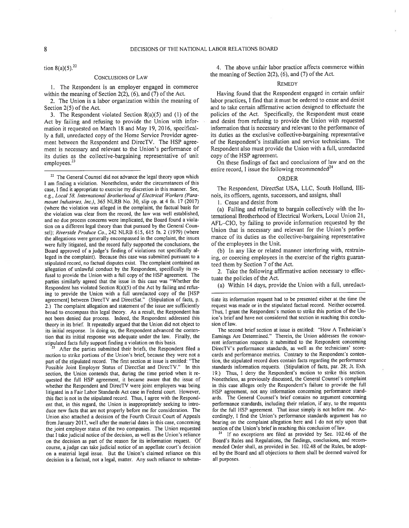#### 8 **8** DECISIONS OF THE NATIONAL LABOR RELATIONS BOARD

tion  $8(a)(5)$ .<sup>22</sup>

#### CONCLUSIONS OF LAW

1. The Respondent is an employer engaged in commerce within the meaning of Section 2(2), (6). and (7) of the Act.

2. The Union is <sup>a</sup> labor organization within the meaning of Section 2(5) of the Act.

3. The Respondent violated Section 8(a)(5) and (1) of the Act by failing and refusing to provide the Union with infor mation it requested on March 18 and May 19, 2016, specifical ly <sup>a</sup> full. unredacted copy of the Home Service Provider agree ment between the Respondent and DirecTV. The HSP agreement is necessary and relevant to the Union's performance of its duties as the collective-bargaining representative of unit employees.<sup>23</sup>

<sup>22</sup> The General Counsel did not advance the legal theory upon which <sup>I</sup> am finding <sup>a</sup> violation. Nonetheless, under the circumstances of this case, <sup>I</sup> find it appropriate to exercise my discretion in this manner. See, e.g., Local 58, International Brotherhood of Electrical Workers (Paramount Industries, Inc.), 365 NLRB No. 30, slip op. at 4 fn. 17 (2017) (where the violation was alleged in the complaint, the factual basis for the violation was clear from the record, the law was well established, and no due process concems were implicated, the Board found <sup>a</sup> viola tion on <sup>a</sup> different legal theory than that pursued by the General Coun sel): Riverside Produce Co., 242 NLRB 615, 615 fn. 2 (1979) (where the allegations were generally encompasse<sup>d</sup> in the complaint, the issues were fully litigated, and the record fully supported the conclusions, the Board approve<sup>d</sup> of <sup>a</sup> judge's finding of violations not specifically al leged in the complaint). Because this case was submitted pursuan<sup>t</sup> to <sup>a</sup> stipulated record, no factual disputes exist. The complaint contained an allegation of unlawful conduct by the Respondent, specifically its re fusal to provide the Union with <sup>a</sup> full copy of the HSP agreement. The parties similarly agreed that the issue in this case was "Whether the Respondent has violated Section  $8(a)(5)$  of the Act by failing and refusing to provide the Union with <sup>a</sup> full unredacted copy of the [HSP agreement] between DirecTV and DirectSat." (Stipulation of facts, p. 2.) The complaint allegation and statement of the issue are sufficiently broad to encompass this legal theory. As <sup>a</sup> result, the Respondent has not been denied due process. Indeed, the Respondent addressed this theory in its brief. It repeatedly argue<sup>d</sup> that the Union did not object to its initial response. In doing so, the Respondent advanced the conten tion that its initial response was adequate under the law. Finally, the stipulated facts fully suppor<sup>t</sup> finding <sup>a</sup> violation on this basis.

After the parties submitted their briefs, the Respondent filed a motion to strike portions of the Union's brief, because they were not <sup>a</sup> par<sup>t</sup> of the stipulated record. The first section at issue is entitled: "The Possible Joint Employer Status of DirectSat and DirecTV." In this section, the Union contends that, during the time period when it re quested the full HSP agreement, it became aware that the issue of whether the Respondent and DirecTV were joint employers was being litigated in <sup>a</sup> Fair Labor Standards Act case in Federal court. However, this fact is not in the stipulated record. Thus, <sup>I</sup> agree with the Respond ent that, in this regard, the Union is inappropriately seeking to intro duce new facts that are not properly before me for consideration. The Union also attached <sup>a</sup> decision of the Fourth Circuit Court of Appeals from January 2017, well after the material dates in this case, conceming the joint employer status of the two companies. The Union requested that <sup>I</sup> take judicial notice of the decision, as well as the Union's reliance on the decision as par<sup>t</sup> of the reason for its information request. Of course, <sup>a</sup> judge can take judicial notice of an appellate court's decision on <sup>a</sup> material legal issue. But the Union's claimed reliance on this decision is <sup>a</sup> factual, not <sup>a</sup> legal, matter. Any such reliance to substan

4. The above unfair labor practice affects commerce within the meaning of Section 2(2), (6), and (7) of the Act.

### R.EMEDY

Having found that the Respondent engage<sup>d</sup> in certain unfair labor practices, <sup>I</sup> find that it must be ordered to cease and desist and to take certain affirmative action designed to effectuate the policies of the Act. Specifically, the Respondent must cease and desist from refusing to provide the Union with requested information that is necessary and relevant to the performance of its duties as the exclusive collective-bargaining representative of the Respondent's installation and service technicians. The Respondent also must provide the Union with <sup>a</sup> full, unredacted copy of the HSP agreement.

On these findings of fact and conclusions of law and on the entire record, I issue the following recommended  $\tilde{ }$ 

### ORDER

The Respondent, DirectSat USA, LLC, South Holland. Illi nois, its officers, agents, successors, and assigns, shall

1. Cease and desist from

(a) Failing and refusing to bargain collectively with the In ternational Brotherhood of Electrical Workers, Local Union 21, AFL—CIO, by failing to provide information requested by the Union that is necessary and relevant for the Union's perfor mance of its duties as the collective-bargaining representative of the employees in the Unit.

(b) In any like or related manner interfering with, restrain ing, or coercing employees in the exercise of the rights guaran teed them by Section 7 of the Act.

2. Take the following affirmative action necessary to effec tuate the policies of the Act.

(a) Within <sup>14</sup> days, provide the Union with <sup>a</sup> full, unredact

tiate its information reques<sup>t</sup> had to be presented either at the time the request was made or in the stipulated factual record. Neither occurred. Thus, <sup>I</sup> gran<sup>t</sup> the Respondent's motion to strike this portion of the Un ion's brief and have not considered that section in reaching this conclu sion of law.

The second brief section at issue is entitled: "How A Technician's Earnings Are Determined." Therein, the Union addresses the concur rent information requests it submitted to the Respondent concerning DirecTV's performance standards, as well as the technicians' score cards and performance metrics. Contrary to the Respondent's conten tion, the stipulated record does contain facts regarding the performance standards information requests. (Stipulation of facts, par. 28; Jt. Exh. 19.) Thus, <sup>I</sup> deny the Respondent's motion to strike this section. Nonetheless, as previously discussed, the General Counsel's complaint in this case alleges only the Respondent's failure to provide the full HSP agreement, not any information concerning performance stand ards. The General Counsel's brief contains no argumen<sup>t</sup> conceming performance standards, including their relation, if any, to the requests for the full HSP agreement. That issue simply is not before mc. Ac cordingly, <sup>I</sup> find the Union's performance standards argumen<sup>t</sup> has no bearing on the complaint allegation here and <sup>I</sup> do not rely upon that section of the Union's brief in reaching this conclusion of law.

If no exceptions are filed as provided by Sec. 102.46 of the Board's Rules and Regulations, the findings, conclusions, and recom mended Order shall, as provided in Sec. 102.48 of the Rules, be adopt ed by the Board and all objections to them shall be deemed waived for all purposes.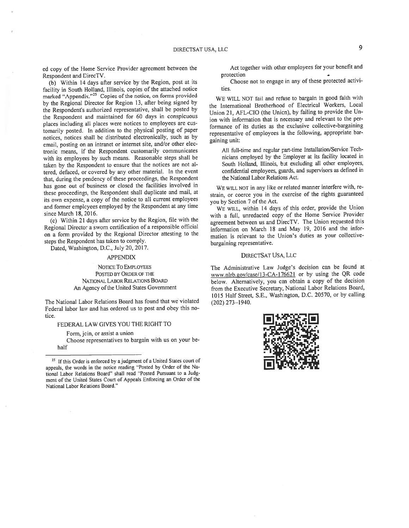ed copy of the Home Service Provider agreemen<sup>t</sup> between the Respondent and DirecTV.

(b) Within <sup>14</sup> days after service by the Region, pos<sup>t</sup> at its facility in South Holland, Illinois, copies of the attached notice marked "Appendix."<sup>25</sup> Copies of the notice, on forms provided by the Regional Director for Region 13, after being signed by the Respondent's authorized representative, shall be posted by the Respondent and maintained for <sup>60</sup> days in conspicuous <sup>p</sup>laces including all <sup>p</sup>laces were notices to employees are cus tomarily posted. In addition to the <sup>p</sup>hysical posting of paper notices, notices shall be distributed electronically, such as by email, posting on an intranet or internet site, and/or other elec tronic means, if the Respondent customarily communicates with its employees by such means. Reasonable steps shall be taken by the Respondent to ensure that the notices are not al tered, defaced, or covered by any other material. In the event that, during the pendency of these proceedings, the Respondent has gone out of business or closed the facilities involved in these proceedings, the Respondent shall duplicate and mail, at its own expense, <sup>a</sup> copy of the notice to all current employees and former employees employed by the Respondent at any time since March 18, 2016.

(c) Within <sup>21</sup> days after service by the Region, file with the Regional Director <sup>a</sup> sworn certification of <sup>a</sup> responsible official on <sup>a</sup> form provided by the Regional Director attesting to the steps the Respondent has taken to comply.

Dated, Washington, D.C.. July 20, 2017.

### APPENDIX

NOTICE TO EMPLOYEES POSTED BY ORDER OF THE NATIONAL LABOR RELATIONS BOARD An Agency of the United States Government

The National Labor Relations Board has found that we violated Federal labor law and has ordered us to pos<sup>t</sup> and obey this notice.

# FEDERAL LAW GIVES YOU THE RIGHT TO

Form, join, or assist <sup>a</sup> union

half Choose representatives to bargain with us on your be-

Act together with other employees for your benefit and protection

Choose not to engage in any of these protected activi ties.

WE WILL NOT fail and refuse to bargain in goo<sup>d</sup> faith with the International Brotherhood of Electrical Workers. Local Union 21, AFL-CIO (the Union). by failing to provide the Un ion with information that is necessary and relevant to the per formance of its duties as the exclusive collective-bargaining representative of employees in the following, appropriate bar gaining unit:

All full-time and regular part-time Installation/Service Technicians employed by the Employer at its facility located in South Holland. Illinois, but excluding all other employees, confidential employees, guards, and supervisors as defined in the National Labor Relations Act.

WE WILL NOT in any like or related manner interfere with, re strain, or coerce you in the exercise of the rights guaranteed you by Section <sup>7</sup> of the Act.

WE WILL, within <sup>14</sup> days of this order, provide the Union with <sup>a</sup> full. unredacted copy of the Home Service Provider agreemen<sup>t</sup> between us and DirecTV. The Union requested this information on March <sup>18</sup> and May 19, <sup>2016</sup> and the infor mation is relevant to the Union's duties as your collectivebargaining representative.

## DIRECTSAT USA. LLc

The Administrative Law Judge's decision can be found at www.nlrb.eov/case/13-CA-176621 or by using the QR code below. Alternatively, you can obtain <sup>a</sup> copy of the decision from the Executive Secretary, National Labor Relations Board, 1015 Half Street. S.E.. Washington, D.C. 20570, or by calling (202) 273—1940.



<sup>&</sup>lt;sup>25</sup> If this Order is enforced by a judgment of a United States court of appeals, the words in the notice reading "Posted by Order of the Na tional Labor Relations Board" shall read "Posted Pursuant to <sup>a</sup> Judg ment of the United States Court of Appeals Enforcing an Order of the National Labor Relations Board.'